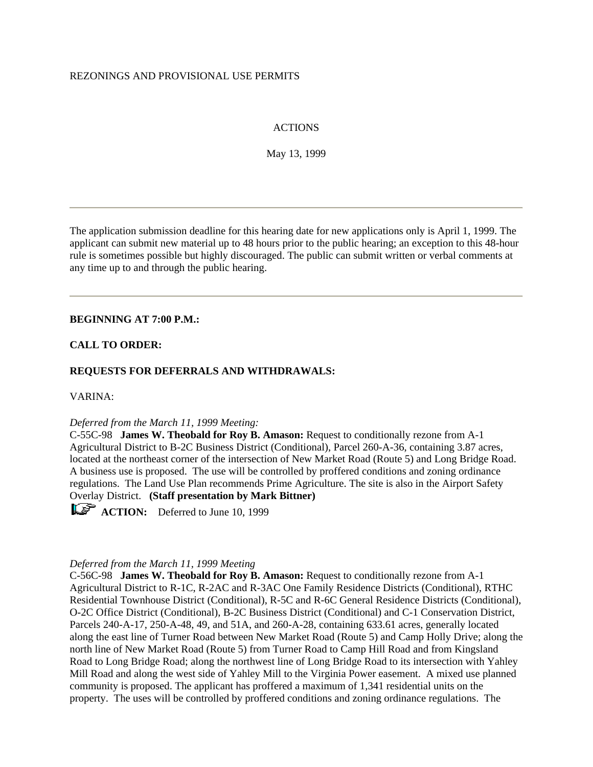#### REZONINGS AND PROVISIONAL USE PERMITS

## ACTIONS

May 13, 1999

The application submission deadline for this hearing date for new applications only is April 1, 1999. The applicant can submit new material up to 48 hours prior to the public hearing; an exception to this 48-hour rule is sometimes possible but highly discouraged. The public can submit written or verbal comments at any time up to and through the public hearing.

#### **BEGINNING AT 7:00 P.M.:**

#### **CALL TO ORDER:**

#### **REQUESTS FOR DEFERRALS AND WITHDRAWALS:**

VARINA:

#### *Deferred from the March 11, 1999 Meeting:*

C-55C-98 **James W. Theobald for Roy B. Amason:** Request to conditionally rezone from A-1 Agricultural District to B-2C Business District (Conditional), Parcel 260-A-36, containing 3.87 acres, located at the northeast corner of the intersection of New Market Road (Route 5) and Long Bridge Road. A business use is proposed. The use will be controlled by proffered conditions and zoning ordinance regulations. The Land Use Plan recommends Prime Agriculture. The site is also in the Airport Safety Overlay District. **(Staff presentation by Mark Bittner)**

**ACTION:** Deferred to June 10, 1999

#### *Deferred from the March 11, 1999 Meeting*

C-56C-98 **James W. Theobald for Roy B. Amason:** Request to conditionally rezone from A-1 Agricultural District to R-1C, R-2AC and R-3AC One Family Residence Districts (Conditional), RTHC Residential Townhouse District (Conditional), R-5C and R-6C General Residence Districts (Conditional), O-2C Office District (Conditional), B-2C Business District (Conditional) and C-1 Conservation District, Parcels 240-A-17, 250-A-48, 49, and 51A, and 260-A-28, containing 633.61 acres, generally located along the east line of Turner Road between New Market Road (Route 5) and Camp Holly Drive; along the north line of New Market Road (Route 5) from Turner Road to Camp Hill Road and from Kingsland Road to Long Bridge Road; along the northwest line of Long Bridge Road to its intersection with Yahley Mill Road and along the west side of Yahley Mill to the Virginia Power easement. A mixed use planned community is proposed. The applicant has proffered a maximum of 1,341 residential units on the property. The uses will be controlled by proffered conditions and zoning ordinance regulations. The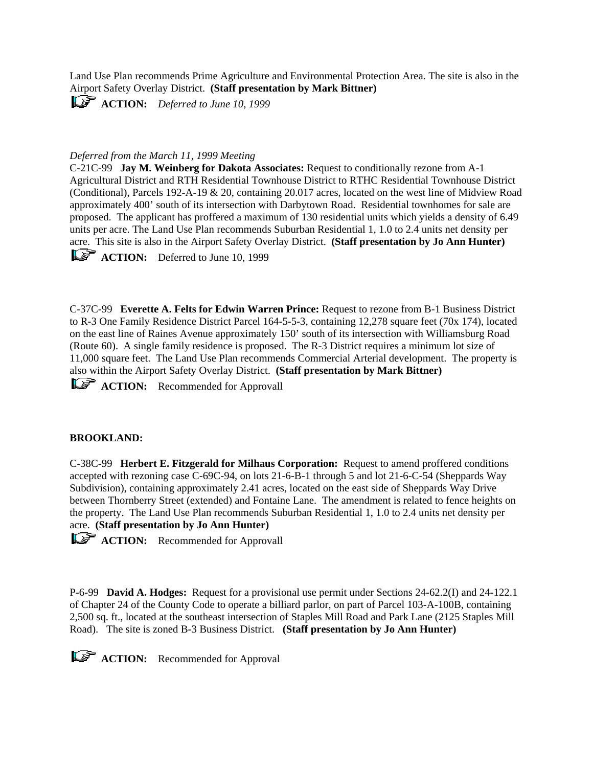Land Use Plan recommends Prime Agriculture and Environmental Protection Area. The site is also in the Airport Safety Overlay District. **(Staff presentation by Mark Bittner)**

**ACTION:** *Deferred to June 10, 1999*

## *Deferred from the March 11, 1999 Meeting*

C-21C-99 **Jay M. Weinberg for Dakota Associates:** Request to conditionally rezone from A-1 Agricultural District and RTH Residential Townhouse District to RTHC Residential Townhouse District (Conditional), Parcels 192-A-19 & 20, containing 20.017 acres, located on the west line of Midview Road approximately 400' south of its intersection with Darbytown Road. Residential townhomes for sale are proposed. The applicant has proffered a maximum of 130 residential units which yields a density of 6.49 units per acre. The Land Use Plan recommends Suburban Residential 1, 1.0 to 2.4 units net density per acre. This site is also in the Airport Safety Overlay District. **(Staff presentation by Jo Ann Hunter)**

**ACTION:** Deferred to June 10, 1999

C-37C-99 **Everette A. Felts for Edwin Warren Prince:** Request to rezone from B-1 Business District to R-3 One Family Residence District Parcel 164-5-5-3, containing 12,278 square feet (70x 174), located on the east line of Raines Avenue approximately 150' south of its intersection with Williamsburg Road (Route 60). A single family residence is proposed. The R-3 District requires a minimum lot size of 11,000 square feet. The Land Use Plan recommends Commercial Arterial development. The property is also within the Airport Safety Overlay District. **(Staff presentation by Mark Bittner)**

**ACTION:** Recommended for Approvall

#### **BROOKLAND:**

C-38C-99 **Herbert E. Fitzgerald for Milhaus Corporation:** Request to amend proffered conditions accepted with rezoning case C-69C-94, on lots 21-6-B-1 through 5 and lot 21-6-C-54 (Sheppards Way Subdivision), containing approximately 2.41 acres, located on the east side of Sheppards Way Drive between Thornberry Street (extended) and Fontaine Lane. The amendment is related to fence heights on the property. The Land Use Plan recommends Suburban Residential 1, 1.0 to 2.4 units net density per acre. **(Staff presentation by Jo Ann Hunter)**

**ACTION:** Recommended for Approvall

P-6-99 **David A. Hodges:** Request for a provisional use permit under Sections 24-62.2(I) and 24-122.1 of Chapter 24 of the County Code to operate a billiard parlor, on part of Parcel 103-A-100B, containing 2,500 sq. ft., located at the southeast intersection of Staples Mill Road and Park Lane (2125 Staples Mill Road). The site is zoned B-3 Business District. **(Staff presentation by Jo Ann Hunter)** 

**ACTION:** Recommended for Approval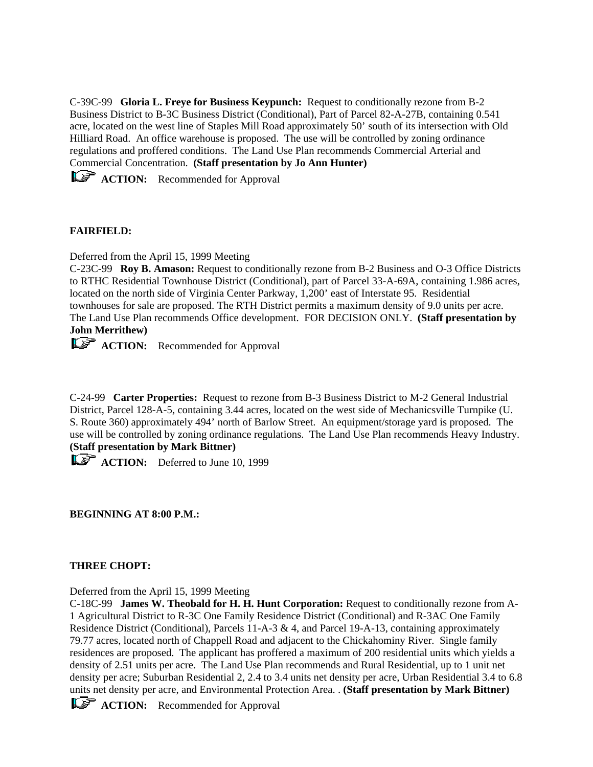C-39C-99 **Gloria L. Freye for Business Keypunch:** Request to conditionally rezone from B-2 Business District to B-3C Business District (Conditional), Part of Parcel 82-A-27B, containing 0.541 acre, located on the west line of Staples Mill Road approximately 50' south of its intersection with Old Hilliard Road. An office warehouse is proposed. The use will be controlled by zoning ordinance regulations and proffered conditions. The Land Use Plan recommends Commercial Arterial and Commercial Concentration. **(Staff presentation by Jo Ann Hunter)** 

**ACTION:** Recommended for Approval

# **FAIRFIELD:**

Deferred from the April 15, 1999 Meeting

C-23C-99 **Roy B. Amason:** Request to conditionally rezone from B-2 Business and O-3 Office Districts to RTHC Residential Townhouse District (Conditional), part of Parcel 33-A-69A, containing 1.986 acres, located on the north side of Virginia Center Parkway, 1,200' east of Interstate 95. Residential townhouses for sale are proposed. The RTH District permits a maximum density of 9.0 units per acre. The Land Use Plan recommends Office development. FOR DECISION ONLY. **(Staff presentation by John Merrithew)**

**ACTION:** Recommended for Approval

C-24-99 **Carter Properties:** Request to rezone from B-3 Business District to M-2 General Industrial District, Parcel 128-A-5, containing 3.44 acres, located on the west side of Mechanicsville Turnpike (U. S. Route 360) approximately 494' north of Barlow Street. An equipment/storage yard is proposed. The use will be controlled by zoning ordinance regulations. The Land Use Plan recommends Heavy Industry. **(Staff presentation by Mark Bittner)**

**ACTION:** Deferred to June 10, 1999

**BEGINNING AT 8:00 P.M.:**

## **THREE CHOPT:**

Deferred from the April 15, 1999 Meeting

C-18C-99 **James W. Theobald for H. H. Hunt Corporation:** Request to conditionally rezone from A-1 Agricultural District to R-3C One Family Residence District (Conditional) and R-3AC One Family Residence District (Conditional), Parcels 11-A-3 & 4, and Parcel 19-A-13, containing approximately 79.77 acres, located north of Chappell Road and adjacent to the Chickahominy River. Single family residences are proposed. The applicant has proffered a maximum of 200 residential units which yields a density of 2.51 units per acre. The Land Use Plan recommends and Rural Residential, up to 1 unit net density per acre; Suburban Residential 2, 2.4 to 3.4 units net density per acre, Urban Residential 3.4 to 6.8 units net density per acre, and Environmental Protection Area. . **(Staff presentation by Mark Bittner)**

**ACTION:** Recommended for Approval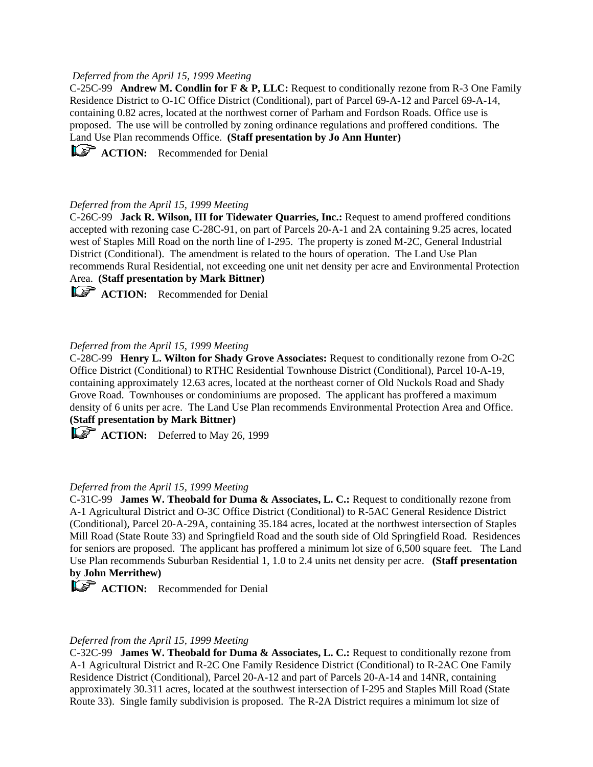## *Deferred from the April 15, 1999 Meeting*

C-25C-99 **Andrew M. Condlin for F & P, LLC:** Request to conditionally rezone from R-3 One Family Residence District to O-1C Office District (Conditional), part of Parcel 69-A-12 and Parcel 69-A-14, containing 0.82 acres, located at the northwest corner of Parham and Fordson Roads. Office use is proposed. The use will be controlled by zoning ordinance regulations and proffered conditions. The Land Use Plan recommends Office. **(Staff presentation by Jo Ann Hunter)**

**ACTION:** Recommended for Denial

#### *Deferred from the April 15, 1999 Meeting*

C-26C-99 **Jack R. Wilson, III for Tidewater Quarries, Inc.:** Request to amend proffered conditions accepted with rezoning case C-28C-91, on part of Parcels 20-A-1 and 2A containing 9.25 acres, located west of Staples Mill Road on the north line of I-295. The property is zoned M-2C, General Industrial District (Conditional). The amendment is related to the hours of operation. The Land Use Plan recommends Rural Residential, not exceeding one unit net density per acre and Environmental Protection Area. **(Staff presentation by Mark Bittner)**

**ACTION:** Recommended for Denial

#### *Deferred from the April 15, 1999 Meeting*

C-28C-99 **Henry L. Wilton for Shady Grove Associates:** Request to conditionally rezone from O-2C Office District (Conditional) to RTHC Residential Townhouse District (Conditional), Parcel 10-A-19, containing approximately 12.63 acres, located at the northeast corner of Old Nuckols Road and Shady Grove Road. Townhouses or condominiums are proposed. The applicant has proffered a maximum density of 6 units per acre. The Land Use Plan recommends Environmental Protection Area and Office. **(Staff presentation by Mark Bittner)**

**ACTION:** Deferred to May 26, 1999

#### *Deferred from the April 15, 1999 Meeting*

C-31C-99 **James W. Theobald for Duma & Associates, L. C.:** Request to conditionally rezone from A-1 Agricultural District and O-3C Office District (Conditional) to R-5AC General Residence District (Conditional), Parcel 20-A-29A, containing 35.184 acres, located at the northwest intersection of Staples Mill Road (State Route 33) and Springfield Road and the south side of Old Springfield Road. Residences for seniors are proposed. The applicant has proffered a minimum lot size of 6,500 square feet. The Land Use Plan recommends Suburban Residential 1, 1.0 to 2.4 units net density per acre. **(Staff presentation by John Merrithew)**

**ACTION:** Recommended for Denial

#### *Deferred from the April 15, 1999 Meeting*

C-32C-99 **James W. Theobald for Duma & Associates, L. C.:** Request to conditionally rezone from A-1 Agricultural District and R-2C One Family Residence District (Conditional) to R-2AC One Family Residence District (Conditional), Parcel 20-A-12 and part of Parcels 20-A-14 and 14NR, containing approximately 30.311 acres, located at the southwest intersection of I-295 and Staples Mill Road (State Route 33). Single family subdivision is proposed. The R-2A District requires a minimum lot size of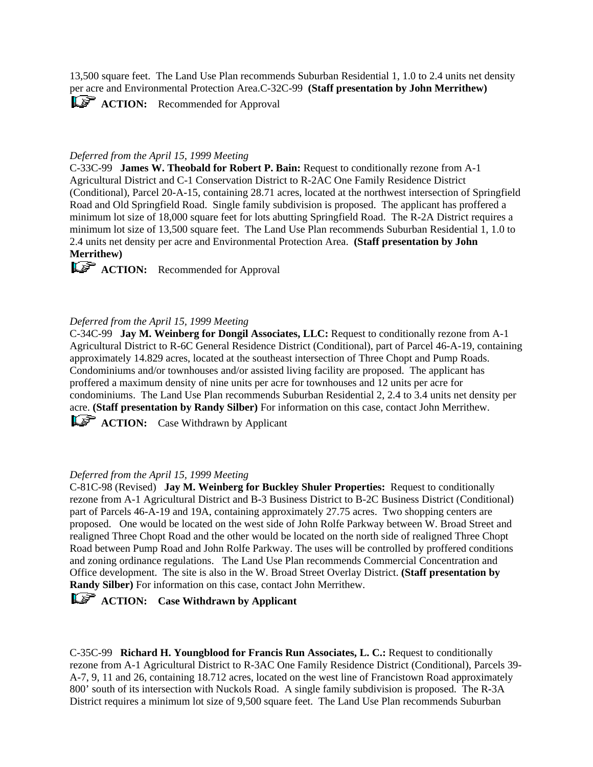13,500 square feet. The Land Use Plan recommends Suburban Residential 1, 1.0 to 2.4 units net density per acre and Environmental Protection Area.C-32C-99 **(Staff presentation by John Merrithew)**

**ACTION:** Recommended for Approval

## *Deferred from the April 15, 1999 Meeting*

C-33C-99 **James W. Theobald for Robert P. Bain:** Request to conditionally rezone from A-1 Agricultural District and C-1 Conservation District to R-2AC One Family Residence District (Conditional), Parcel 20-A-15, containing 28.71 acres, located at the northwest intersection of Springfield Road and Old Springfield Road. Single family subdivision is proposed. The applicant has proffered a minimum lot size of 18,000 square feet for lots abutting Springfield Road. The R-2A District requires a minimum lot size of 13,500 square feet. The Land Use Plan recommends Suburban Residential 1, 1.0 to 2.4 units net density per acre and Environmental Protection Area. **(Staff presentation by John Merrithew)**

**ACTION:** Recommended for Approval

## *Deferred from the April 15, 1999 Meeting*

C-34C-99 **Jay M. Weinberg for Dongil Associates, LLC:** Request to conditionally rezone from A-1 Agricultural District to R-6C General Residence District (Conditional), part of Parcel 46-A-19, containing approximately 14.829 acres, located at the southeast intersection of Three Chopt and Pump Roads. Condominiums and/or townhouses and/or assisted living facility are proposed. The applicant has proffered a maximum density of nine units per acre for townhouses and 12 units per acre for condominiums. The Land Use Plan recommends Suburban Residential 2, 2.4 to 3.4 units net density per acre. **(Staff presentation by Randy Silber)** For information on this case, contact John Merrithew.

**ACTION:** Case Withdrawn by Applicant

#### *Deferred from the April 15, 1999 Meeting*

C-81C-98 (Revised) **Jay M. Weinberg for Buckley Shuler Properties:** Request to conditionally rezone from A-1 Agricultural District and B-3 Business District to B-2C Business District (Conditional) part of Parcels 46-A-19 and 19A, containing approximately 27.75 acres. Two shopping centers are proposed. One would be located on the west side of John Rolfe Parkway between W. Broad Street and realigned Three Chopt Road and the other would be located on the north side of realigned Three Chopt Road between Pump Road and John Rolfe Parkway. The uses will be controlled by proffered conditions and zoning ordinance regulations. The Land Use Plan recommends Commercial Concentration and Office development. The site is also in the W. Broad Street Overlay District. **(Staff presentation by Randy Silber)** For information on this case, contact John Merrithew.

*ACTION:* Case Withdrawn by Applicant

C-35C-99 **Richard H. Youngblood for Francis Run Associates, L. C.:** Request to conditionally rezone from A-1 Agricultural District to R-3AC One Family Residence District (Conditional), Parcels 39- A-7, 9, 11 and 26, containing 18.712 acres, located on the west line of Francistown Road approximately 800' south of its intersection with Nuckols Road. A single family subdivision is proposed. The R-3A District requires a minimum lot size of 9,500 square feet. The Land Use Plan recommends Suburban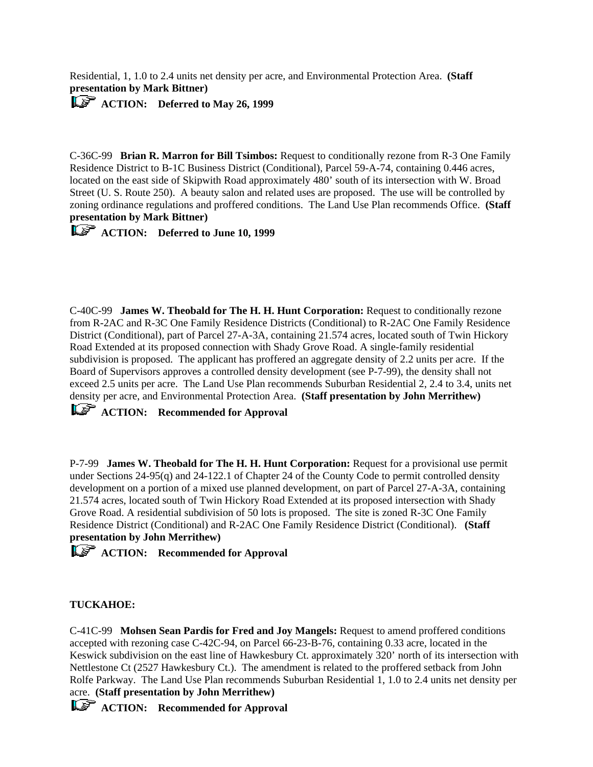Residential, 1, 1.0 to 2.4 units net density per acre, and Environmental Protection Area. **(Staff presentation by Mark Bittner)** 

**ACTION:** Deferred to May 26, 1999

C-36C-99 **Brian R. Marron for Bill Tsimbos:** Request to conditionally rezone from R-3 One Family Residence District to B-1C Business District (Conditional), Parcel 59-A-74, containing 0.446 acres, located on the east side of Skipwith Road approximately 480' south of its intersection with W. Broad Street (U. S. Route 250). A beauty salon and related uses are proposed. The use will be controlled by zoning ordinance regulations and proffered conditions. The Land Use Plan recommends Office. **(Staff presentation by Mark Bittner)** 

*ACTION:* Deferred to June 10, 1999

C-40C-99 **James W. Theobald for The H. H. Hunt Corporation:** Request to conditionally rezone from R-2AC and R-3C One Family Residence Districts (Conditional) to R-2AC One Family Residence District (Conditional), part of Parcel 27-A-3A, containing 21.574 acres, located south of Twin Hickory Road Extended at its proposed connection with Shady Grove Road. A single-family residential subdivision is proposed. The applicant has proffered an aggregate density of 2.2 units per acre. If the Board of Supervisors approves a controlled density development (see P-7-99), the density shall not exceed 2.5 units per acre. The Land Use Plan recommends Suburban Residential 2, 2.4 to 3.4, units net density per acre, and Environmental Protection Area. **(Staff presentation by John Merrithew)** 

*ACTION:* Recommended for Approval

P-7-99 **James W. Theobald for The H. H. Hunt Corporation:** Request for a provisional use permit under Sections 24-95(q) and 24-122.1 of Chapter 24 of the County Code to permit controlled density development on a portion of a mixed use planned development, on part of Parcel 27-A-3A, containing 21.574 acres, located south of Twin Hickory Road Extended at its proposed intersection with Shady Grove Road. A residential subdivision of 50 lots is proposed. The site is zoned R-3C One Family Residence District (Conditional) and R-2AC One Family Residence District (Conditional). **(Staff presentation by John Merrithew)** 

*ACTION:* Recommended for Approval

# **TUCKAHOE:**

C-41C-99 **Mohsen Sean Pardis for Fred and Joy Mangels:** Request to amend proffered conditions accepted with rezoning case C-42C-94, on Parcel 66-23-B-76, containing 0.33 acre, located in the Keswick subdivision on the east line of Hawkesbury Ct. approximately 320' north of its intersection with Nettlestone Ct (2527 Hawkesbury Ct.). The amendment is related to the proffered setback from John Rolfe Parkway. The Land Use Plan recommends Suburban Residential 1, 1.0 to 2.4 units net density per acre. **(Staff presentation by John Merrithew)** 

*ACTION:* Recommended for Approval